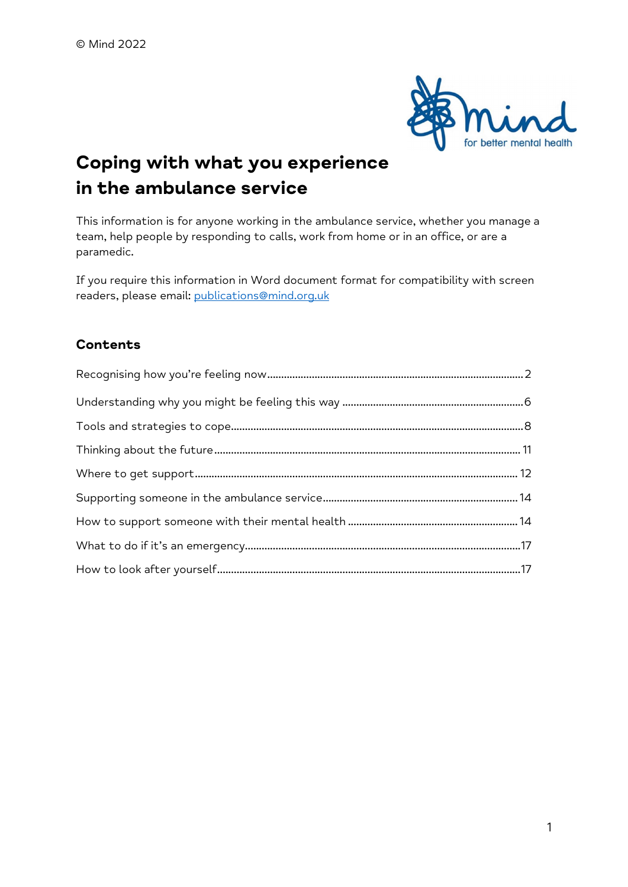

# Coping with what you experience in the ambulance service

This information is for anyone working in the ambulance service, whether you manage a team, help people by responding to calls, work from home or in an office, or are a paramedic.

If you require this information in Word document format for compatibility with screen readers, please email: publications@mind.org.uk

# Contents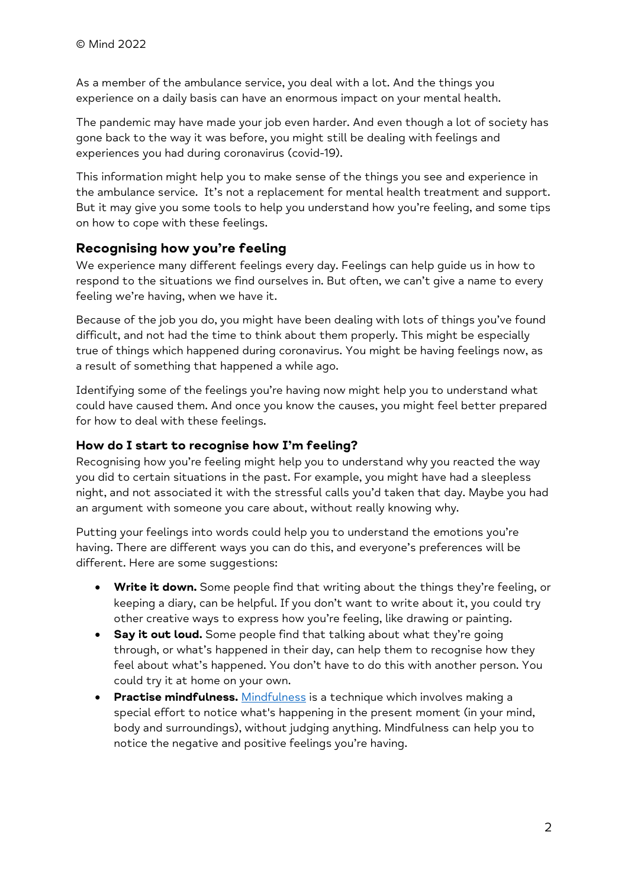As a member of the ambulance service, you deal with a lot. And the things you experience on a daily basis can have an enormous impact on your mental health.

The pandemic may have made your job even harder. And even though a lot of society has gone back to the way it was before, you might still be dealing with feelings and experiences you had during coronavirus (covid-19).

This information might help you to make sense of the things you see and experience in the ambulance service. It's not a replacement for mental health treatment and support. But it may give you some tools to help you understand how you're feeling, and some tips on how to cope with these feelings.

# Recognising how you're feeling

We experience many different feelings every day. Feelings can help guide us in how to respond to the situations we find ourselves in. But often, we can't give a name to every feeling we're having, when we have it.

Because of the job you do, you might have been dealing with lots of things you've found difficult, and not had the time to think about them properly. This might be especially true of things which happened during coronavirus. You might be having feelings now, as a result of something that happened a while ago.

Identifying some of the feelings you're having now might help you to understand what could have caused them. And once you know the causes, you might feel better prepared for how to deal with these feelings.

## How do I start to recognise how I'm feeling?

Recognising how you're feeling might help you to understand why you reacted the way you did to certain situations in the past. For example, you might have had a sleepless night, and not associated it with the stressful calls you'd taken that day. Maybe you had an argument with someone you care about, without really knowing why.

Putting your feelings into words could help you to understand the emotions you're having. There are different ways you can do this, and everyone's preferences will be different. Here are some suggestions:

- **Write it down.** Some people find that writing about the things they're feeling, or keeping a diary, can be helpful. If you don't want to write about it, you could try other creative ways to express how you're feeling, like drawing or painting.
- Say it out loud. Some people find that talking about what they're going through, or what's happened in their day, can help them to recognise how they feel about what's happened. You don't have to do this with another person. You could try it at home on your own.
- **Practise mindfulness.** Mindfulness is a technique which involves making a special effort to notice what's happening in the present moment (in your mind, body and surroundings), without judging anything. Mindfulness can help you to notice the negative and positive feelings you're having.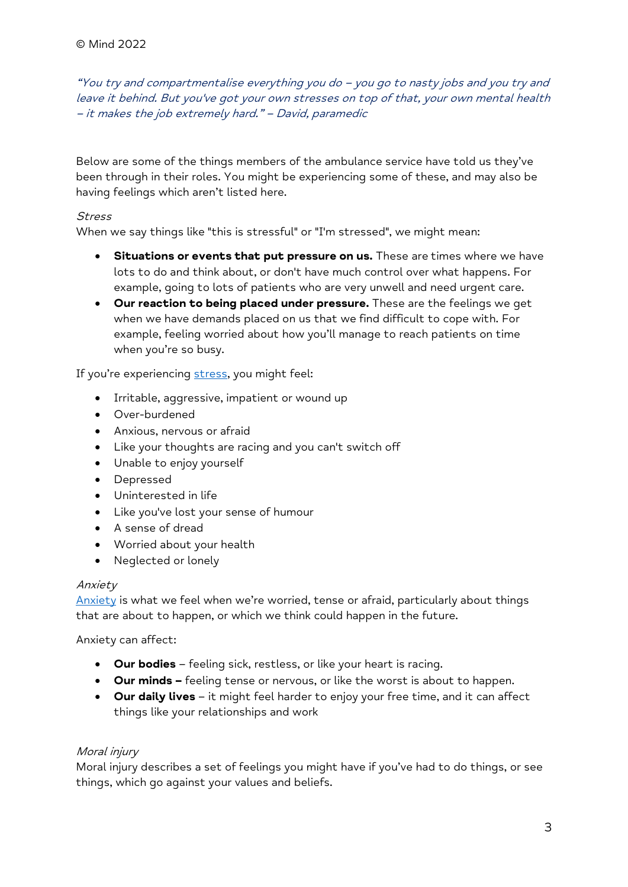"You try and compartmentalise everything you do – you go to nasty jobs and you try and leave it behind. But you've got your own stresses on top of that, your own mental health – it makes the job extremely hard." – David, paramedic

Below are some of the things members of the ambulance service have told us they've been through in their roles. You might be experiencing some of these, and may also be having feelings which aren't listed here.

#### Stress

When we say things like "this is stressful" or "I'm stressed", we might mean:

- Situations or events that put pressure on us. These are times where we have lots to do and think about, or don't have much control over what happens. For example, going to lots of patients who are very unwell and need urgent care.
- Our reaction to being placed under pressure. These are the feelings we get when we have demands placed on us that we find difficult to cope with. For example, feeling worried about how you'll manage to reach patients on time when you're so busy.

If you're experiencing stress, you might feel:

- Irritable, aggressive, impatient or wound up
- Over-burdened
- Anxious, nervous or afraid
- Like your thoughts are racing and you can't switch off
- Unable to enjoy yourself
- Depressed
- Uninterested in life
- Like you've lost your sense of humour
- A sense of dread
- Worried about your health
- Neglected or lonely

#### Anxiety

Anxiety is what we feel when we're worried, tense or afraid, particularly about things that are about to happen, or which we think could happen in the future.

Anxiety can affect:

- **Our bodies** feeling sick, restless, or like your heart is racing.
- Our minds feeling tense or nervous, or like the worst is about to happen.
- Our daily lives it might feel harder to enjoy your free time, and it can affect things like your relationships and work

## Moral injury

Moral injury describes a set of feelings you might have if you've had to do things, or see things, which go against your values and beliefs.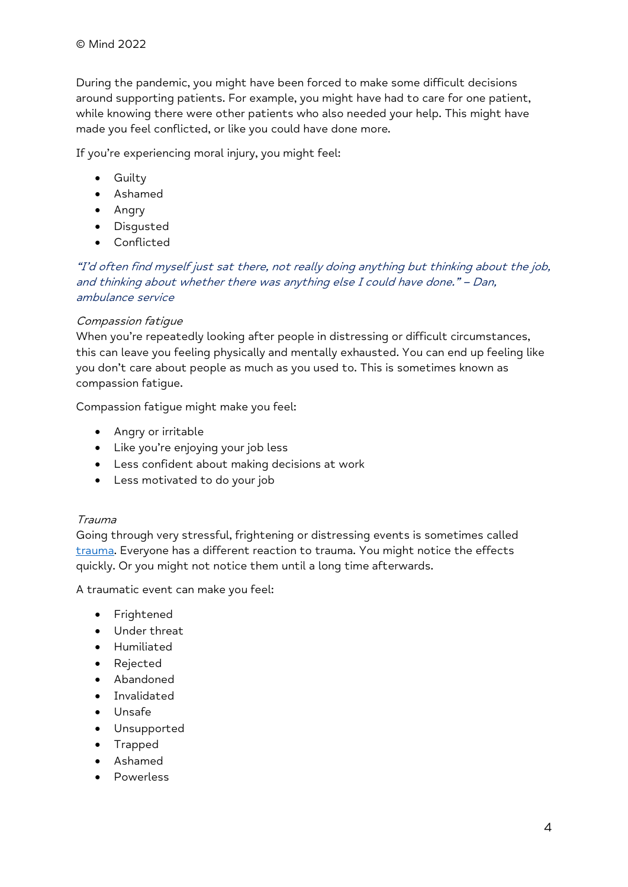During the pandemic, you might have been forced to make some difficult decisions around supporting patients. For example, you might have had to care for one patient, while knowing there were other patients who also needed your help. This might have made you feel conflicted, or like you could have done more.

If you're experiencing moral injury, you might feel:

- **•** Guilty
- Ashamed
- Angry
- Disgusted
- Conflicted

"I'd often find myself just sat there, not really doing anything but thinking about the job, and thinking about whether there was anything else I could have done." – Dan, ambulance service

## Compassion fatigue

When you're repeatedly looking after people in distressing or difficult circumstances, this can leave you feeling physically and mentally exhausted. You can end up feeling like you don't care about people as much as you used to. This is sometimes known as compassion fatigue.

Compassion fatigue might make you feel:

- Angry or irritable
- Like you're enjoying your job less
- Less confident about making decisions at work
- Less motivated to do your job

#### Trauma

Going through very stressful, frightening or distressing events is sometimes called trauma. Everyone has a different reaction to trauma. You might notice the effects quickly. Or you might not notice them until a long time afterwards.

A traumatic event can make you feel:

- **•** Frightened
- Under threat
- Humiliated
- Rejected
- Abandoned
- **•** Invalidated
- Unsafe
- Unsupported
- Trapped
- Ashamed
- Powerless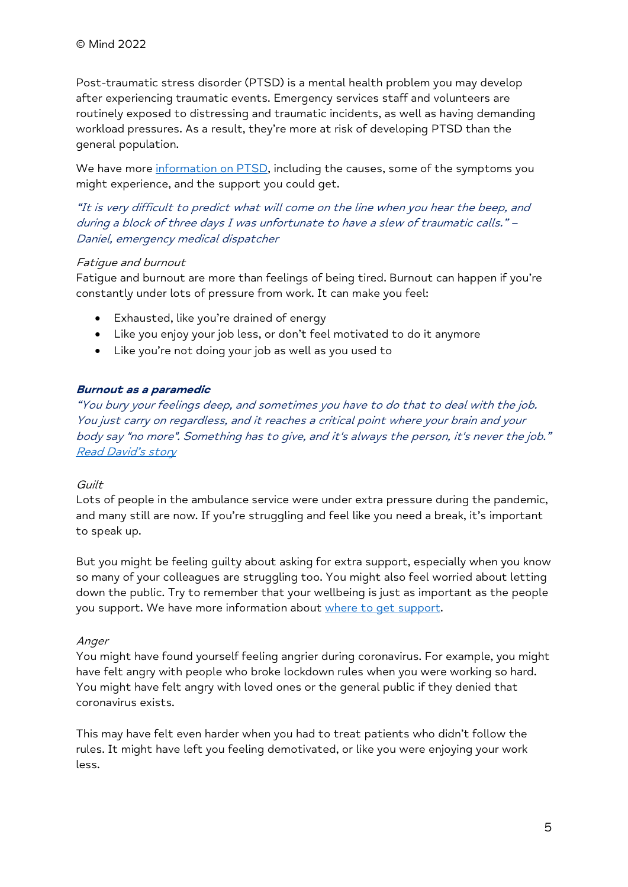Post-traumatic stress disorder (PTSD) is a mental health problem you may develop after experiencing traumatic events. Emergency services staff and volunteers are routinely exposed to distressing and traumatic incidents, as well as having demanding workload pressures. As a result, they're more at risk of developing PTSD than the general population.

We have more information on PTSD, including the causes, some of the symptoms you might experience, and the support you could get.

"It is very difficult to predict what will come on the line when you hear the beep, and during a block of three days I was unfortunate to have a slew of traumatic calls." – Daniel, emergency medical dispatcher

#### Fatigue and burnout

Fatigue and burnout are more than feelings of being tired. Burnout can happen if you're constantly under lots of pressure from work. It can make you feel:

- Exhausted, like you're drained of energy
- Like you enjoy your job less, or don't feel motivated to do it anymore
- Like you're not doing your job as well as you used to

#### Burnout as a paramedic

"You bury your feelings deep, and sometimes you have to do that to deal with the job. You just carry on regardless, and it reaches a critical point where your brain and your body say "no more". Something has to give, and it's always the person, it's never the job." Read David's story

#### **Guilt**

Lots of people in the ambulance service were under extra pressure during the pandemic, and many still are now. If you're struggling and feel like you need a break, it's important to speak up.

But you might be feeling guilty about asking for extra support, especially when you know so many of your colleagues are struggling too. You might also feel worried about letting down the public. Try to remember that your wellbeing is just as important as the people you support. We have more information about where to get support.

#### Anger

You might have found yourself feeling angrier during coronavirus. For example, you might have felt angry with people who broke lockdown rules when you were working so hard. You might have felt angry with loved ones or the general public if they denied that coronavirus exists.

This may have felt even harder when you had to treat patients who didn't follow the rules. It might have left you feeling demotivated, or like you were enjoying your work less.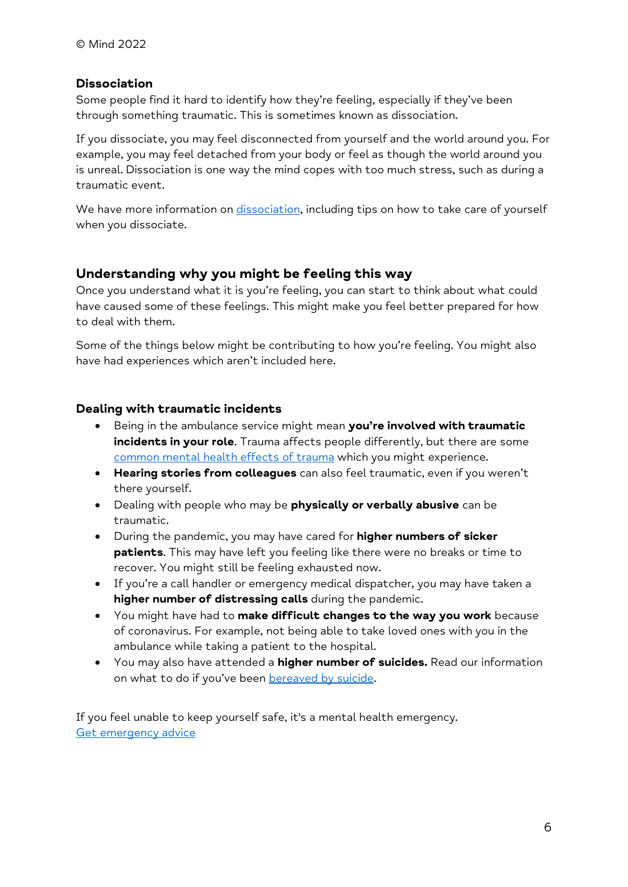## Dissociation

Some people find it hard to identify how they're feeling, especially if they've been through something traumatic. This is sometimes known as dissociation.

If you dissociate, you may feel disconnected from yourself and the world around you. For example, you may feel detached from your body or feel as though the world around you is unreal. Dissociation is one way the mind copes with too much stress, such as during a traumatic event.

We have more information on dissociation, including tips on how to take care of yourself when you dissociate.

# Understanding why you might be feeling this way

Once you understand what it is you're feeling, you can start to think about what could have caused some of these feelings. This might make you feel better prepared for how to deal with them.

Some of the things below might be contributing to how you're feeling. You might also have had experiences which aren't included here.

# Dealing with traumatic incidents

- Being in the ambulance service might mean you're involved with traumatic incidents in your role. Trauma affects people differently, but there are some common mental health effects of trauma which you might experience.
- Hearing stories from colleagues can also feel traumatic, even if you weren't there yourself.
- Dealing with people who may be physically or verbally abusive can be traumatic.
- During the pandemic, you may have cared for **higher numbers of sicker** patients. This may have left you feeling like there were no breaks or time to recover. You might still be feeling exhausted now.
- If you're a call handler or emergency medical dispatcher, you may have taken a higher number of distressing calls during the pandemic.
- You might have had to make difficult changes to the way you work because of coronavirus. For example, not being able to take loved ones with you in the ambulance while taking a patient to the hospital.
- You may also have attended a **higher number of suicides.** Read our information on what to do if you've been bereaved by suicide.

If you feel unable to keep yourself safe, it's a mental health emergency. Get emergency advice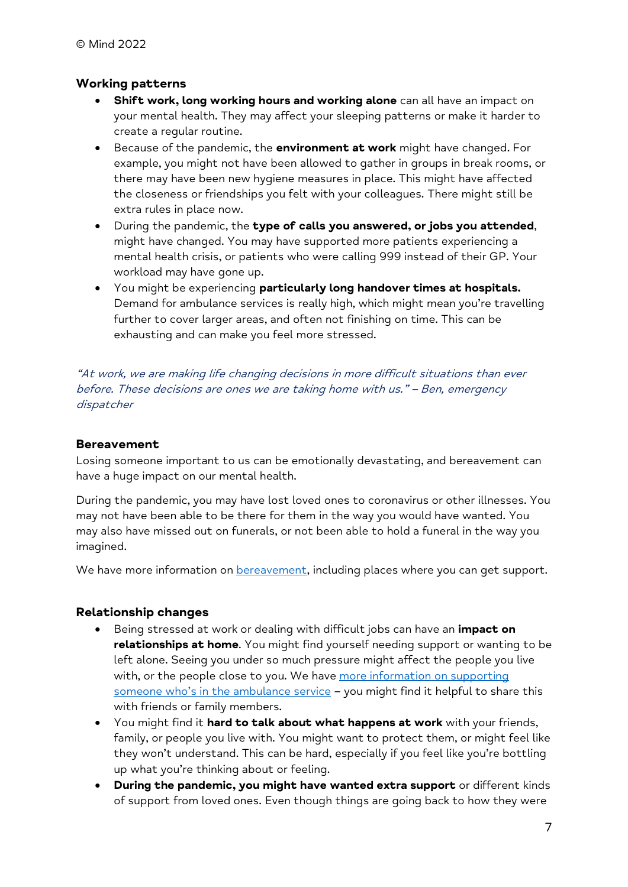## Working patterns

- Shift work, long working hours and working alone can all have an impact on your mental health. They may affect your sleeping patterns or make it harder to create a regular routine.
- **Because of the pandemic, the environment at work** might have changed. For example, you might not have been allowed to gather in groups in break rooms, or there may have been new hygiene measures in place. This might have affected the closeness or friendships you felt with your colleagues. There might still be extra rules in place now.
- During the pandemic, the type of calls you answered, or jobs you attended, might have changed. You may have supported more patients experiencing a mental health crisis, or patients who were calling 999 instead of their GP. Your workload may have gone up.
- You might be experiencing particularly long handover times at hospitals. Demand for ambulance services is really high, which might mean you're travelling further to cover larger areas, and often not finishing on time. This can be exhausting and can make you feel more stressed.

"At work, we are making life changing decisions in more difficult situations than ever before. These decisions are ones we are taking home with us." – Ben, emergency dispatcher

#### Bereavement

Losing someone important to us can be emotionally devastating, and bereavement can have a huge impact on our mental health.

During the pandemic, you may have lost loved ones to coronavirus or other illnesses. You may not have been able to be there for them in the way you would have wanted. You may also have missed out on funerals, or not been able to hold a funeral in the way you imagined.

We have more information on **bereavement**, including places where you can get support.

#### Relationship changes

- Being stressed at work or dealing with difficult jobs can have an *impact on* relationships at home. You might find yourself needing support or wanting to be left alone. Seeing you under so much pressure might affect the people you live with, or the people close to you. We have more information on supporting someone who's in the ambulance service – you might find it helpful to share this with friends or family members.
- You might find it hard to talk about what happens at work with your friends, family, or people you live with. You might want to protect them, or might feel like they won't understand. This can be hard, especially if you feel like you're bottling up what you're thinking about or feeling.
- During the pandemic, you might have wanted extra support or different kinds of support from loved ones. Even though things are going back to how they were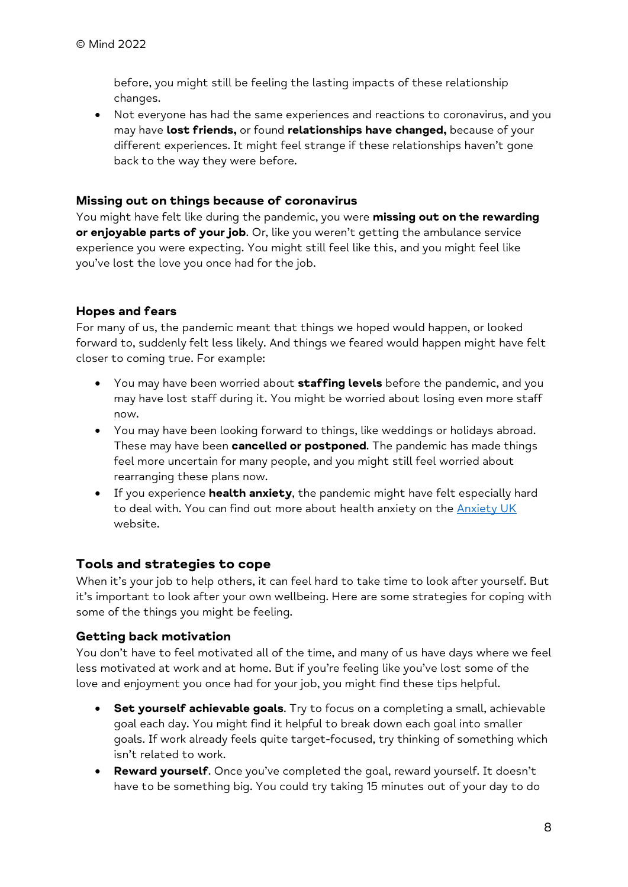before, you might still be feeling the lasting impacts of these relationship changes.

 Not everyone has had the same experiences and reactions to coronavirus, and you may have lost friends, or found relationships have changed, because of your different experiences. It might feel strange if these relationships haven't gone back to the way they were before.

## Missing out on things because of coronavirus

You might have felt like during the pandemic, you were missing out on the rewarding or enjoyable parts of your job. Or, like you weren't getting the ambulance service experience you were expecting. You might still feel like this, and you might feel like you've lost the love you once had for the job.

# Hopes and fears

For many of us, the pandemic meant that things we hoped would happen, or looked forward to, suddenly felt less likely. And things we feared would happen might have felt closer to coming true. For example:

- You may have been worried about **staffing levels** before the pandemic, and you may have lost staff during it. You might be worried about losing even more staff now.
- You may have been looking forward to things, like weddings or holidays abroad. These may have been **cancelled or postponed**. The pandemic has made things feel more uncertain for many people, and you might still feel worried about rearranging these plans now.
- If you experience **health anxiety**, the pandemic might have felt especially hard to deal with. You can find out more about health anxiety on the Anxiety UK website.

# Tools and strategies to cope

When it's your job to help others, it can feel hard to take time to look after yourself. But it's important to look after your own wellbeing. Here are some strategies for coping with some of the things you might be feeling.

# Getting back motivation

You don't have to feel motivated all of the time, and many of us have days where we feel less motivated at work and at home. But if you're feeling like you've lost some of the love and enjoyment you once had for your job, you might find these tips helpful.

- Set yourself achievable goals. Try to focus on a completing a small, achievable goal each day. You might find it helpful to break down each goal into smaller goals. If work already feels quite target-focused, try thinking of something which isn't related to work.
- Reward yourself. Once you've completed the goal, reward yourself. It doesn't have to be something big. You could try taking 15 minutes out of your day to do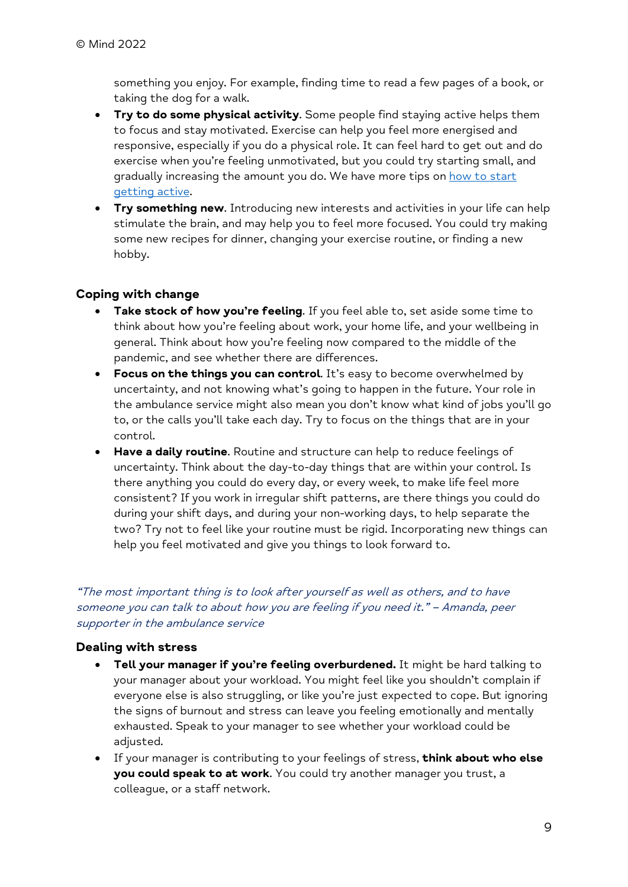something you enjoy. For example, finding time to read a few pages of a book, or taking the dog for a walk.

- **Try to do some physical activity.** Some people find staying active helps them to focus and stay motivated. Exercise can help you feel more energised and responsive, especially if you do a physical role. It can feel hard to get out and do exercise when you're feeling unmotivated, but you could try starting small, and gradually increasing the amount you do. We have more tips on how to start getting active.
- **Try something new.** Introducing new interests and activities in your life can help stimulate the brain, and may help you to feel more focused. You could try making some new recipes for dinner, changing your exercise routine, or finding a new hobby.

# Coping with change

- Take stock of how you're feeling. If you feel able to, set aside some time to think about how you're feeling about work, your home life, and your wellbeing in general. Think about how you're feeling now compared to the middle of the pandemic, and see whether there are differences.
- Focus on the things you can control. It's easy to become overwhelmed by uncertainty, and not knowing what's going to happen in the future. Your role in the ambulance service might also mean you don't know what kind of jobs you'll go to, or the calls you'll take each day. Try to focus on the things that are in your control.
- Have a daily routine. Routine and structure can help to reduce feelings of uncertainty. Think about the day-to-day things that are within your control. Is there anything you could do every day, or every week, to make life feel more consistent? If you work in irregular shift patterns, are there things you could do during your shift days, and during your non-working days, to help separate the two? Try not to feel like your routine must be rigid. Incorporating new things can help you feel motivated and give you things to look forward to.

"The most important thing is to look after yourself as well as others, and to have someone you can talk to about how you are feeling if you need it." – Amanda, peer supporter in the ambulance service

## Dealing with stress

- Tell your manager if you're feeling overburdened. It might be hard talking to your manager about your workload. You might feel like you shouldn't complain if everyone else is also struggling, or like you're just expected to cope. But ignoring the signs of burnout and stress can leave you feeling emotionally and mentally exhausted. Speak to your manager to see whether your workload could be adjusted.
- If your manager is contributing to your feelings of stress, think about who else you could speak to at work. You could try another manager you trust, a colleague, or a staff network.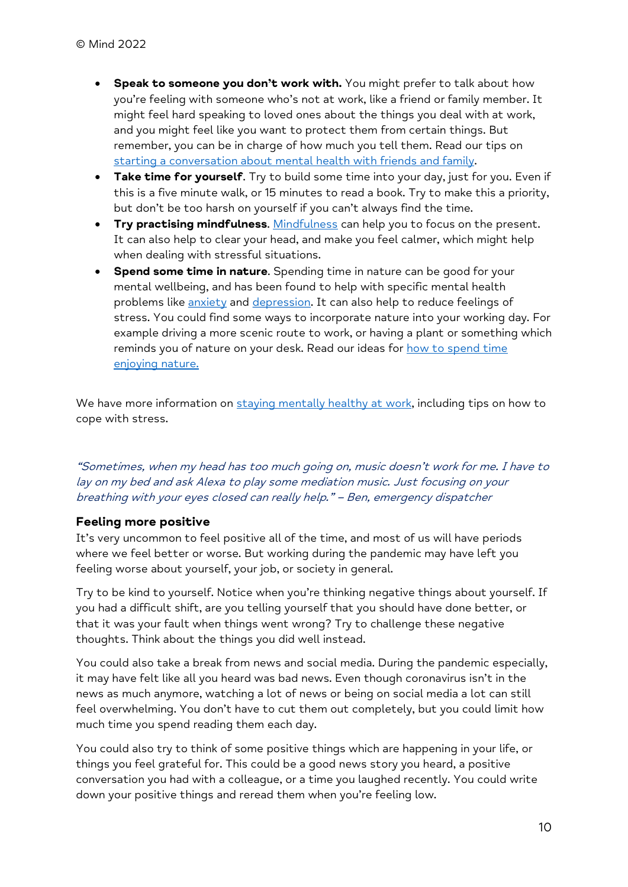- Speak to someone you don't work with. You might prefer to talk about how you're feeling with someone who's not at work, like a friend or family member. It might feel hard speaking to loved ones about the things you deal with at work, and you might feel like you want to protect them from certain things. But remember, you can be in charge of how much you tell them. Read our tips on starting a conversation about mental health with friends and family.
- Take time for yourself. Try to build some time into your day, just for you. Even if this is a five minute walk, or 15 minutes to read a book. Try to make this a priority, but don't be too harsh on yourself if you can't always find the time.
- Try practising mindfulness. Mindfulness can help you to focus on the present. It can also help to clear your head, and make you feel calmer, which might help when dealing with stressful situations.
- Spend some time in nature. Spending time in nature can be good for your mental wellbeing, and has been found to help with specific mental health problems like anxiety and depression. It can also help to reduce feelings of stress. You could find some ways to incorporate nature into your working day. For example driving a more scenic route to work, or having a plant or something which reminds you of nature on your desk. Read our ideas for how to spend time enjoying nature.

We have more information on staying mentally healthy at work, including tips on how to cope with stress.

"Sometimes, when my head has too much going on, music doesn't work for me. I have to lay on my bed and ask Alexa to play some mediation music. Just focusing on your breathing with your eyes closed can really help." – Ben, emergency dispatcher

## Feeling more positive

It's very uncommon to feel positive all of the time, and most of us will have periods where we feel better or worse. But working during the pandemic may have left you feeling worse about yourself, your job, or society in general.

Try to be kind to yourself. Notice when you're thinking negative things about yourself. If you had a difficult shift, are you telling yourself that you should have done better, or that it was your fault when things went wrong? Try to challenge these negative thoughts. Think about the things you did well instead.

You could also take a break from news and social media. During the pandemic especially, it may have felt like all you heard was bad news. Even though coronavirus isn't in the news as much anymore, watching a lot of news or being on social media a lot can still feel overwhelming. You don't have to cut them out completely, but you could limit how much time you spend reading them each day.

You could also try to think of some positive things which are happening in your life, or things you feel grateful for. This could be a good news story you heard, a positive conversation you had with a colleague, or a time you laughed recently. You could write down your positive things and reread them when you're feeling low.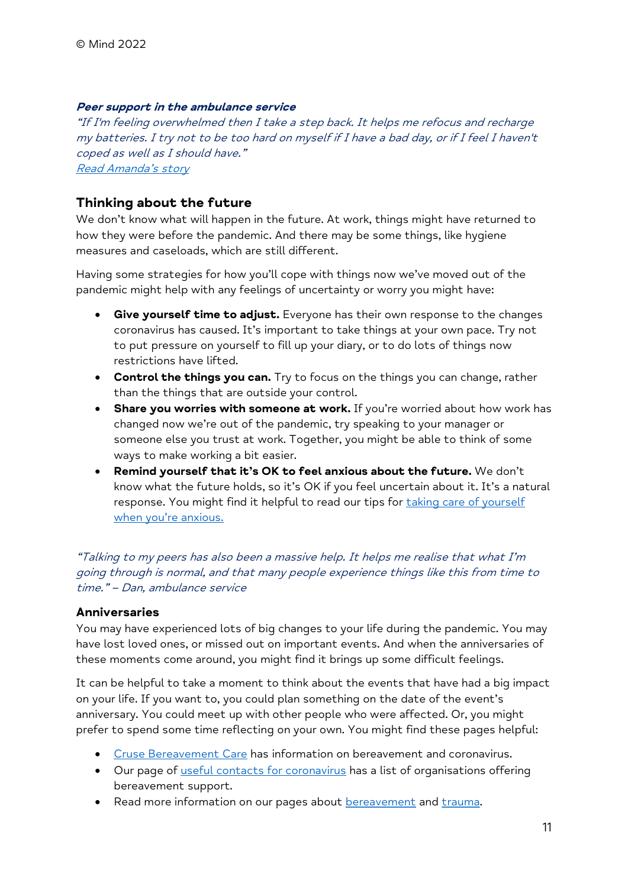#### Peer support in the ambulance service

"If I'm feeling overwhelmed then I take a step back. It helps me refocus and recharge my batteries. I try not to be too hard on myself if I have a bad day, or if I feel I haven't coped as well as I should have." Read Amanda's story

## Thinking about the future

We don't know what will happen in the future. At work, things might have returned to how they were before the pandemic. And there may be some things, like hygiene measures and caseloads, which are still different.

Having some strategies for how you'll cope with things now we've moved out of the pandemic might help with any feelings of uncertainty or worry you might have:

- **Give yourself time to adjust.** Everyone has their own response to the changes coronavirus has caused. It's important to take things at your own pace. Try not to put pressure on yourself to fill up your diary, or to do lots of things now restrictions have lifted.
- Control the things you can. Try to focus on the things you can change, rather than the things that are outside your control.
- Share you worries with someone at work. If you're worried about how work has changed now we're out of the pandemic, try speaking to your manager or someone else you trust at work. Together, you might be able to think of some ways to make working a bit easier.
- Remind yourself that it's OK to feel anxious about the future. We don't know what the future holds, so it's OK if you feel uncertain about it. It's a natural response. You might find it helpful to read our tips for taking care of yourself when you're anxious.

"Talking to my peers has also been a massive help. It helps me realise that what I'm going through is normal, and that many people experience things like this from time to time." – Dan, ambulance service

## **Anniversaries**

You may have experienced lots of big changes to your life during the pandemic. You may have lost loved ones, or missed out on important events. And when the anniversaries of these moments come around, you might find it brings up some difficult feelings.

It can be helpful to take a moment to think about the events that have had a big impact on your life. If you want to, you could plan something on the date of the event's anniversary. You could meet up with other people who were affected. Or, you might prefer to spend some time reflecting on your own. You might find these pages helpful:

- **Cruse Bereavement Care has information on bereavement and coronavirus.**
- Our page of useful contacts for coronavirus has a list of organisations offering bereavement support.
- Read more information on our pages about bereavement and trauma.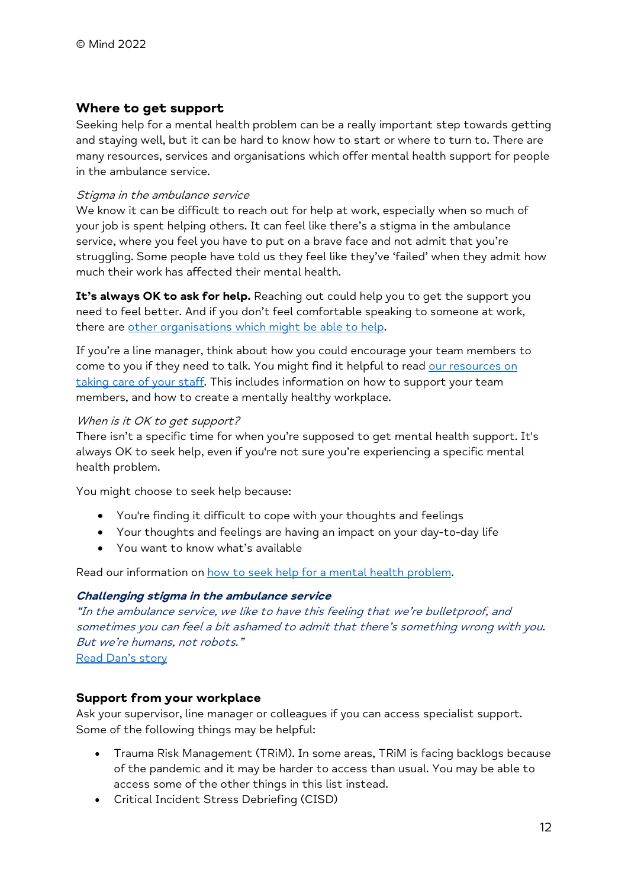# Where to get support

Seeking help for a mental health problem can be a really important step towards getting and staying well, but it can be hard to know how to start or where to turn to. There are many resources, services and organisations which offer mental health support for people in the ambulance service.

#### Stigma in the ambulance service

We know it can be difficult to reach out for help at work, especially when so much of your job is spent helping others. It can feel like there's a stigma in the ambulance service, where you feel you have to put on a brave face and not admit that you're struggling. Some people have told us they feel like they've 'failed' when they admit how much their work has affected their mental health.

It's always OK to ask for help. Reaching out could help you to get the support you need to feel better. And if you don't feel comfortable speaking to someone at work, there are other organisations which might be able to help.

If you're a line manager, think about how you could encourage your team members to come to you if they need to talk. You might find it helpful to read our resources on taking care of your staff. This includes information on how to support your team members, and how to create a mentally healthy workplace.

#### When is it OK to get support?

There isn't a specific time for when you're supposed to get mental health support. It's always OK to seek help, even if you're not sure you're experiencing a specific mental health problem.

You might choose to seek help because:

- You're finding it difficult to cope with your thoughts and feelings
- Your thoughts and feelings are having an impact on your day-to-day life
- You want to know what's available

Read our information on how to seek help for a mental health problem.

#### Challenging stigma in the ambulance service

"In the ambulance service, we like to have this feeling that we're bulletproof, and sometimes you can feel a bit ashamed to admit that there's something wrong with you. But we're humans, not robots."

Read Dan's story

## Support from your workplace

Ask your supervisor, line manager or colleagues if you can access specialist support. Some of the following things may be helpful:

- Trauma Risk Management (TRiM). In some areas, TRiM is facing backlogs because of the pandemic and it may be harder to access than usual. You may be able to access some of the other things in this list instead.
- Critical Incident Stress Debriefing (CISD)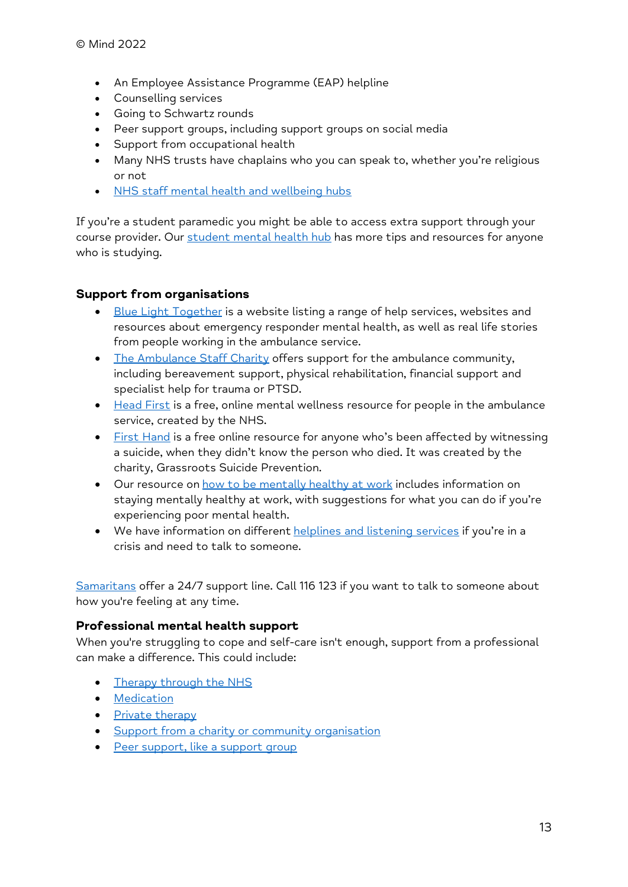- An Employee Assistance Programme (EAP) helpline
- Counselling services
- Going to Schwartz rounds
- Peer support groups, including support groups on social media
- Support from occupational health
- Many NHS trusts have chaplains who you can speak to, whether you're religious or not
- NHS staff mental health and wellbeing hubs

If you're a student paramedic you might be able to access extra support through your course provider. Our student mental health hub has more tips and resources for anyone who is studying.

## Support from organisations

- **Blue Light Together is a website listing a range of help services, websites and** resources about emergency responder mental health, as well as real life stories from people working in the ambulance service.
- The Ambulance Staff Charity offers support for the ambulance community, including bereavement support, physical rehabilitation, financial support and specialist help for trauma or PTSD.
- Head First is a free, online mental wellness resource for people in the ambulance service, created by the NHS.
- First Hand is a free online resource for anyone who's been affected by witnessing a suicide, when they didn't know the person who died. It was created by the charity, Grassroots Suicide Prevention.
- Our resource on how to be mentally healthy at work includes information on staying mentally healthy at work, with suggestions for what you can do if you're experiencing poor mental health.
- We have information on different helplines and listening services if you're in a crisis and need to talk to someone.

Samaritans offer a 24/7 support line. Call 116 123 if you want to talk to someone about how you're feeling at any time.

#### Professional mental health support

When you're struggling to cope and self-care isn't enough, support from a professional can make a difference. This could include:

- Therapy through the NHS
- Medication
- Private therapy
- Support from a charity or community organisation
- Peer support, like a support group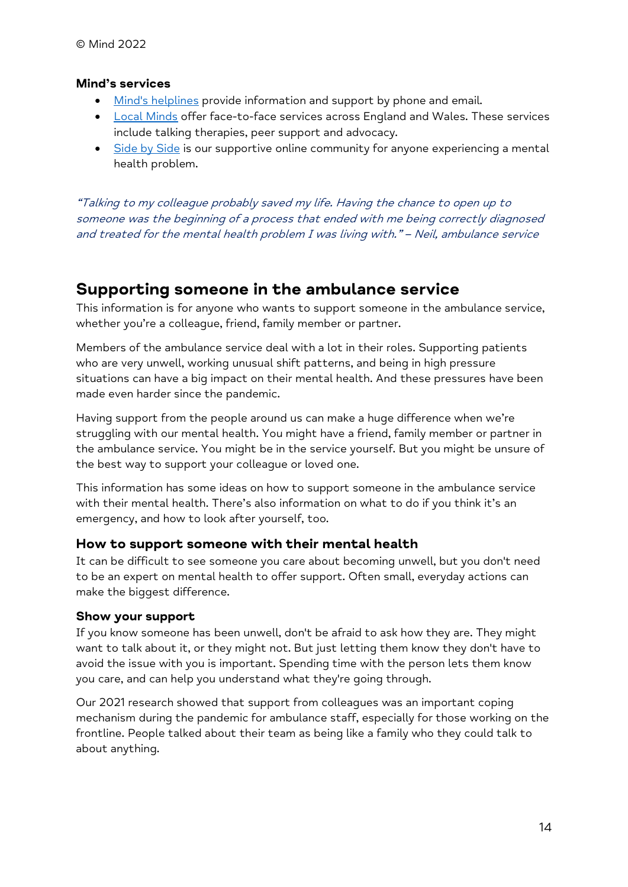#### Mind's services

- Mind's helplines provide information and support by phone and email.
- Local Minds offer face-to-face services across England and Wales. These services include talking therapies, peer support and advocacy.
- Side by Side is our supportive online community for anyone experiencing a mental health problem.

"Talking to my colleague probably saved my life. Having the chance to open up to someone was the beginning of a process that ended with me being correctly diagnosed and treated for the mental health problem I was living with." – Neil, ambulance service

# Supporting someone in the ambulance service

This information is for anyone who wants to support someone in the ambulance service, whether you're a colleague, friend, family member or partner.

Members of the ambulance service deal with a lot in their roles. Supporting patients who are very unwell, working unusual shift patterns, and being in high pressure situations can have a big impact on their mental health. And these pressures have been made even harder since the pandemic.

Having support from the people around us can make a huge difference when we're struggling with our mental health. You might have a friend, family member or partner in the ambulance service. You might be in the service yourself. But you might be unsure of the best way to support your colleague or loved one.

This information has some ideas on how to support someone in the ambulance service with their mental health. There's also information on what to do if you think it's an emergency, and how to look after yourself, too.

## How to support someone with their mental health

It can be difficult to see someone you care about becoming unwell, but you don't need to be an expert on mental health to offer support. Often small, everyday actions can make the biggest difference.

## Show your support

If you know someone has been unwell, don't be afraid to ask how they are. They might want to talk about it, or they might not. But just letting them know they don't have to avoid the issue with you is important. Spending time with the person lets them know you care, and can help you understand what they're going through.

Our 2021 research showed that support from colleagues was an important coping mechanism during the pandemic for ambulance staff, especially for those working on the frontline. People talked about their team as being like a family who they could talk to about anything.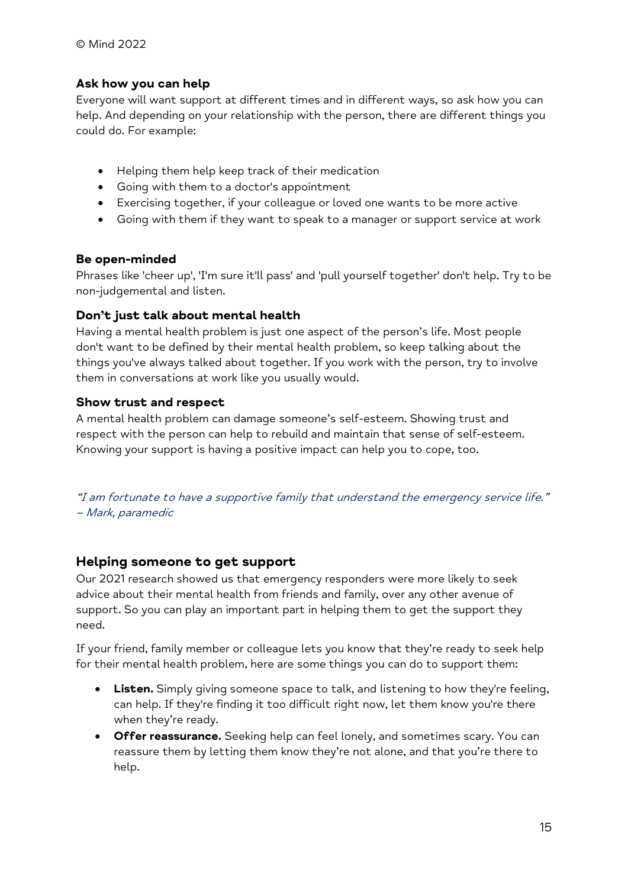# Ask how you can help

Everyone will want support at different times and in different ways, so ask how you can help. And depending on your relationship with the person, there are different things you could do. For example:

- Helping them help keep track of their medication
- Going with them to a doctor's appointment
- Exercising together, if your colleague or loved one wants to be more active
- Going with them if they want to speak to a manager or support service at work

## Be open-minded

Phrases like 'cheer up', 'I'm sure it'll pass' and 'pull yourself together' don't help. Try to be non-judgemental and listen.

# Don't just talk about mental health

Having a mental health problem is just one aspect of the person's life. Most people don't want to be defined by their mental health problem, so keep talking about the things you've always talked about together. If you work with the person, try to involve them in conversations at work like you usually would.

# Show trust and respect

A mental health problem can damage someone's self-esteem. Showing trust and respect with the person can help to rebuild and maintain that sense of self-esteem. Knowing your support is having a positive impact can help you to cope, too.

"I am fortunate to have a supportive family that understand the emergency service life." – Mark, paramedic

# Helping someone to get support

Our 2021 research showed us that emergency responders were more likely to seek advice about their mental health from friends and family, over any other avenue of support. So you can play an important part in helping them to get the support they need.

If your friend, family member or colleague lets you know that they're ready to seek help for their mental health problem, here are some things you can do to support them:

- Listen. Simply giving someone space to talk, and listening to how they're feeling, can help. If they're finding it too difficult right now, let them know you're there when they're ready.
- Offer reassurance. Seeking help can feel lonely, and sometimes scary. You can reassure them by letting them know they're not alone, and that you're there to help.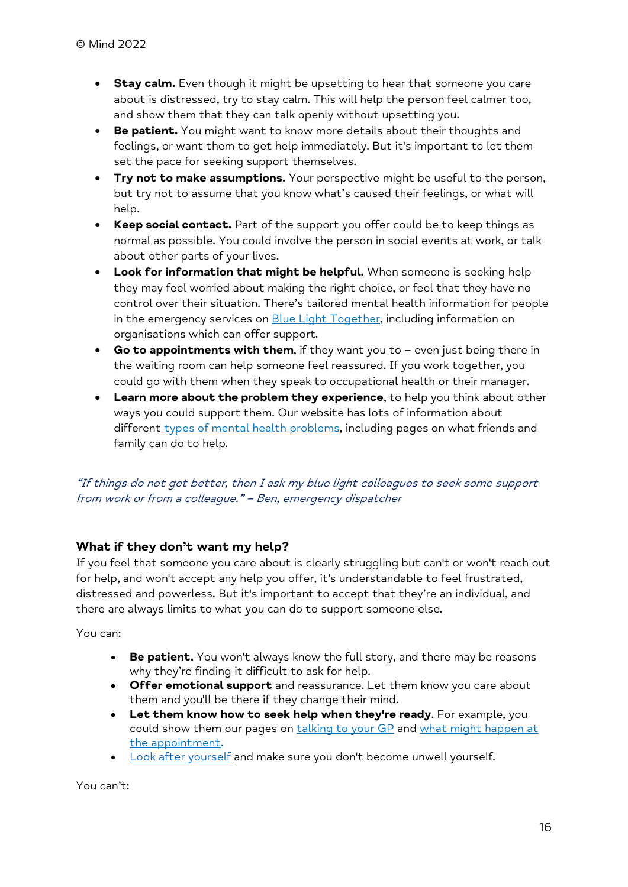- **Stay calm.** Even though it might be upsetting to hear that someone you care about is distressed, try to stay calm. This will help the person feel calmer too, and show them that they can talk openly without upsetting you.
- **Be patient.** You might want to know more details about their thoughts and feelings, or want them to get help immediately. But it's important to let them set the pace for seeking support themselves.
- **Try not to make assumptions.** Your perspective might be useful to the person, but try not to assume that you know what's caused their feelings, or what will help.
- Keep social contact. Part of the support you offer could be to keep things as normal as possible. You could involve the person in social events at work, or talk about other parts of your lives.
- Look for information that might be helpful. When someone is seeking help they may feel worried about making the right choice, or feel that they have no control over their situation. There's tailored mental health information for people in the emergency services on **Blue Light Together**, including information on organisations which can offer support.
- Go to appointments with them, if they want you to even just being there in the waiting room can help someone feel reassured. If you work together, you could go with them when they speak to occupational health or their manager.
- Learn more about the problem they experience, to help you think about other ways you could support them. Our website has lots of information about different types of mental health problems, including pages on what friends and family can do to help.

# "If things do not get better, then I ask my blue light colleagues to seek some support from work or from a colleague." – Ben, emergency dispatcher

# What if they don't want my help?

If you feel that someone you care about is clearly struggling but can't or won't reach out for help, and won't accept any help you offer, it's understandable to feel frustrated, distressed and powerless. But it's important to accept that they're an individual, and there are always limits to what you can do to support someone else.

You can:

- Be patient. You won't always know the full story, and there may be reasons why they're finding it difficult to ask for help.
- Offer emotional support and reassurance. Let them know you care about them and you'll be there if they change their mind.
- Let them know how to seek help when they're ready. For example, you could show them our pages on talking to your GP and what might happen at the appointment.
- Look after yourself and make sure you don't become unwell yourself.

You can't: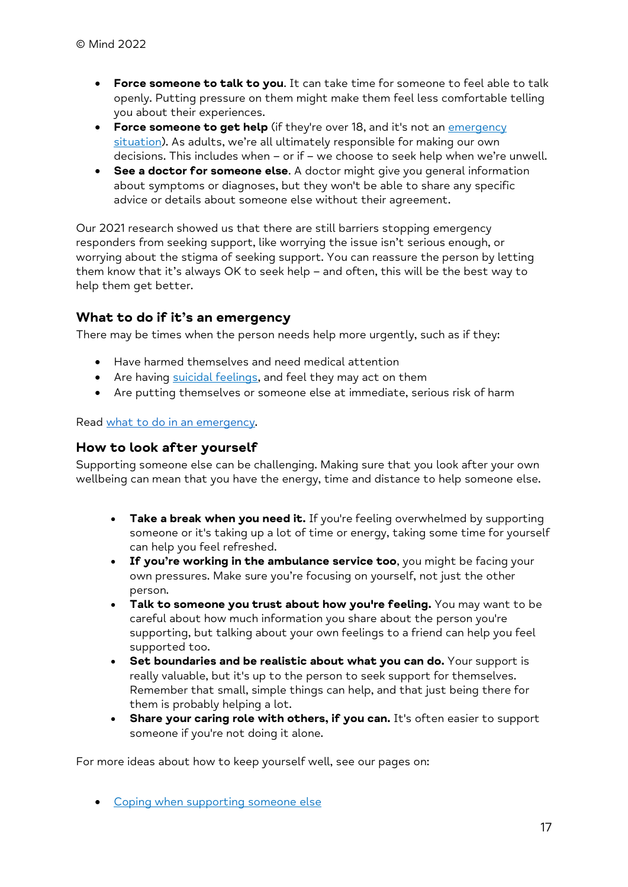- **Force someone to talk to you.** It can take time for someone to feel able to talk openly. Putting pressure on them might make them feel less comfortable telling you about their experiences.
- Force someone to get help (if they're over 18, and it's not an emergency situation). As adults, we're all ultimately responsible for making our own decisions. This includes when – or if – we choose to seek help when we're unwell.
- See a doctor for someone else. A doctor might give you general information about symptoms or diagnoses, but they won't be able to share any specific advice or details about someone else without their agreement.

Our 2021 research showed us that there are still barriers stopping emergency responders from seeking support, like worrying the issue isn't serious enough, or worrying about the stigma of seeking support. You can reassure the person by letting them know that it's always OK to seek help – and often, this will be the best way to help them get better.

# What to do if it's an emergency

There may be times when the person needs help more urgently, such as if they:

- Have harmed themselves and need medical attention
- Are having suicidal feelings, and feel they may act on them
- Are putting themselves or someone else at immediate, serious risk of harm

#### Read what to do in an emergency.

## How to look after yourself

Supporting someone else can be challenging. Making sure that you look after your own wellbeing can mean that you have the energy, time and distance to help someone else.

- $\bullet$  Take a break when you need it. If you're feeling overwhelmed by supporting someone or it's taking up a lot of time or energy, taking some time for yourself can help you feel refreshed.
- If you're working in the ambulance service too, you might be facing your own pressures. Make sure you're focusing on yourself, not just the other person.
- Talk to someone you trust about how you're feeling. You may want to be careful about how much information you share about the person you're supporting, but talking about your own feelings to a friend can help you feel supported too.
- $\bullet$  Set boundaries and be realistic about what you can do. Your support is really valuable, but it's up to the person to seek support for themselves. Remember that small, simple things can help, and that just being there for them is probably helping a lot.
- Share your caring role with others, if you can. It's often easier to support someone if you're not doing it alone.

For more ideas about how to keep yourself well, see our pages on:

• Coping when supporting someone else